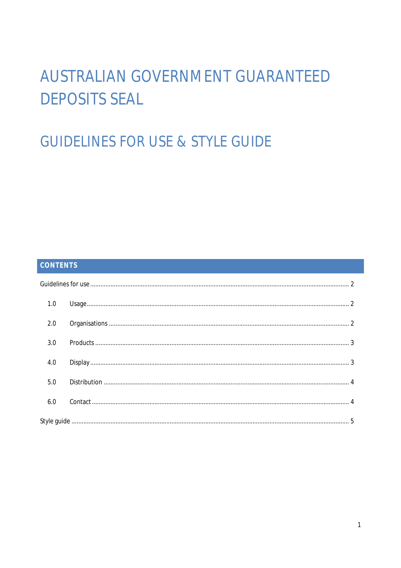# **AUSTRALIAN GOVERNMENT GUARANTEED DEPOSITS SEAL**

# **GUIDELINES FOR USE & STYLE GUIDE**

# CONTENTS

| 1.0 |  |
|-----|--|
| 2.0 |  |
| 3.0 |  |
| 4.0 |  |
| 5.0 |  |
| 6.0 |  |
|     |  |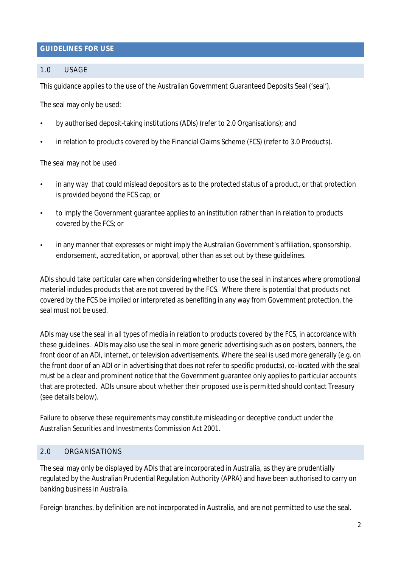# **GUIDELINES FOR USE**

# 1.0 USAGE

This guidance applies to the use of the Australian Government Guaranteed Deposits Seal ('seal').

The seal may only be used:

- by authorised deposit-taking institutions (ADIs) (refer to 2.0 Organisations); and
- in relation to products covered by the Financial Claims Scheme (FCS) (refer to 3.0 Products).

The seal may not be used

- in any way that could mislead depositors as to the protected status of a product, or that protection is provided beyond the FCS cap; or
- to imply the Government guarantee applies to an institution rather than in relation to products covered by the FCS; or
- in any manner that expresses or might imply the Australian Government's affiliation, sponsorship, endorsement, accreditation, or approval, other than as set out by these guidelines.

ADIs should take particular care when considering whether to use the seal in instances where promotional material includes products that are not covered by the FCS. Where there is potential that products not covered by the FCS be implied or interpreted as benefiting in any way from Government protection, the seal must not be used.

ADIs may use the seal in all types of media in relation to products covered by the FCS, in accordance with these guidelines. ADIs may also use the seal in more generic advertising such as on posters, banners, the front door of an ADI, internet, or television advertisements. Where the seal is used more generally (e.g. on the front door of an ADI or in advertising that does not refer to specific products), co-located with the seal must be a clear and prominent notice that the Government guarantee only applies to particular accounts that are protected. ADIs unsure about whether their proposed use is permitted should contact Treasury (see details below).

Failure to observe these requirements may constitute misleading or deceptive conduct under the *Australian Securities and Investments Commission Act 2001.*

# 2.0 ORGANISATIONS

The seal may only be displayed by ADIs that are incorporated in Australia, as they are prudentially regulated by the Australian Prudential Regulation Authority (APRA) and have been authorised to carry on banking business in Australia.

Foreign branches, by definition are not incorporated in Australia, and are not permitted to use the seal.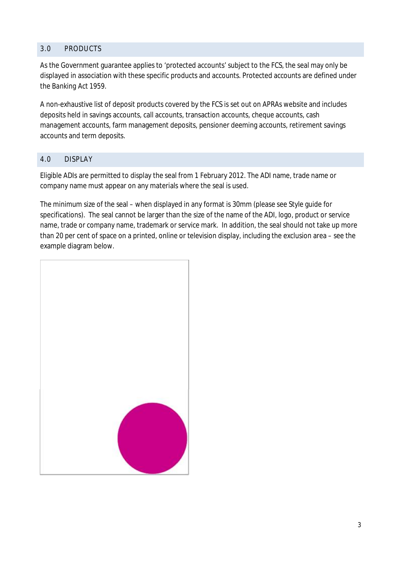# 3.0 PRODUCTS

As the Government guarantee applies to 'protected accounts' subject to the FCS, the seal may only be displayed in association with these specific products and accounts. Protected accounts are defined under the *Banking Act 1959*.

A non-exhaustive list of deposit products covered by the FCS is set out on APRAs website and includes deposits held in savings accounts, call accounts, transaction accounts, cheque accounts, cash management accounts, farm management deposits, pensioner deeming accounts, retirement savings accounts and term deposits.

# 4.0 DISPLAY

Eligible ADIs are permitted to display the seal from 1 February 2012. The ADI name, trade name or company name must appear on any materials where the seal is used.

The minimum size of the seal – when displayed in any format is 30mm (please see Style guide for specifications). The seal cannot be larger than the size of the name of the ADI, logo, product or service name, trade or company name, trademark or service mark. In addition, the seal should not take up more than 20 per cent of space on a printed, online or television display, including the exclusion area – see the example diagram below.

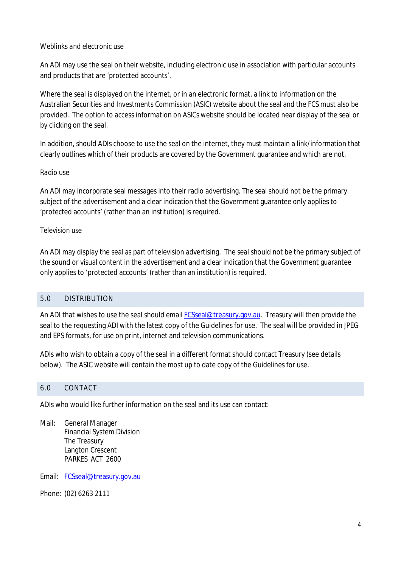#### *Weblinks and electronic use*

An ADI may use the seal on their website, including electronic use in association with particular accounts and products that are 'protected accounts'.

Where the seal is displayed on the internet, or in an electronic format, a link to information on the Australian Securities and Investments Commission (ASIC) website about the seal and the FCS must also be provided. The option to access information on ASICs website should be located near display of the seal or by clicking on the seal.

In addition, should ADIs choose to use the seal on the internet, they must maintain a link/information that clearly outlines which of their products are covered by the Government guarantee and which are not.

#### *Radio use*

An ADI may incorporate seal messages into their radio advertising. The seal should not be the primary subject of the advertisement and a clear indication that the Government guarantee only applies to 'protected accounts' (rather than an institution) is required.

#### *Television use*

An ADI may display the seal as part of television advertising. The seal should not be the primary subject of the sound or visual content in the advertisement and a clear indication that the Government guarantee only applies to 'protected accounts' (rather than an institution) is required.

# 5.0 DISTRIBUTION

An ADI that wishes to use the seal should email [FCSseal@treasury.gov.au](mailto:FCSseal@treasury.gov.au). Treasury will then provide the seal to the requesting ADI with the latest copy of the Guidelines for use. The seal will be provided in JPEG and EPS formats, for use on print, internet and television communications.

ADIs who wish to obtain a copy of the seal in a different format should contact Treasury (see details below). The ASIC website will contain the most up to date copy of the Guidelines for use.

#### 6.0 CONTACT

ADIs who would like further information on the seal and its use can contact:

Mail: General Manager Financial System Division The Treasury Langton Crescent PARKES ACT 2600

Email: [FCSseal@treasury.gov.au](mailto:FCSseal@treasury.gov.au) 

Phone: (02) 6263 2111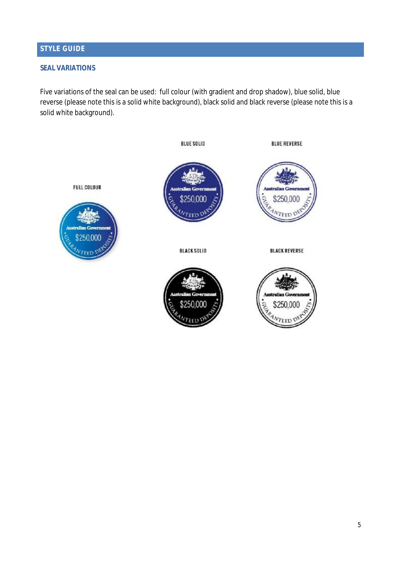# **STYLE GUIDE**

#### **SEAL VARIATIONS**

Five variations of the seal can be used: full colour (with gradient and drop shadow), blue solid, blue reverse (please note this is a solid white background), black solid and black reverse (please note this is a solid white background).

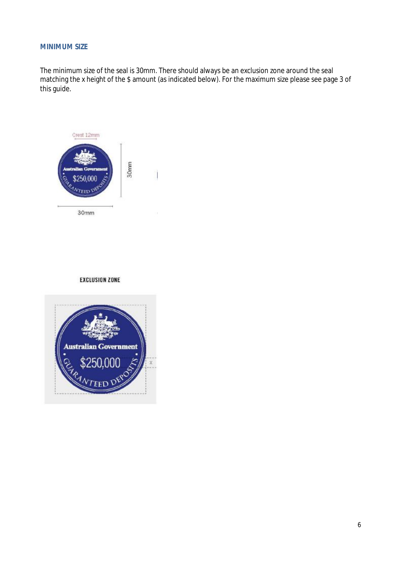#### **MINIMUM SIZE**

The minimum size of the seal is 30mm. There should always be an exclusion zone around the seal matching the x height of the \$ amount (as indicated below). For the maximum size please see page 3 of this guide.



#### **EXCLUSION ZONE**

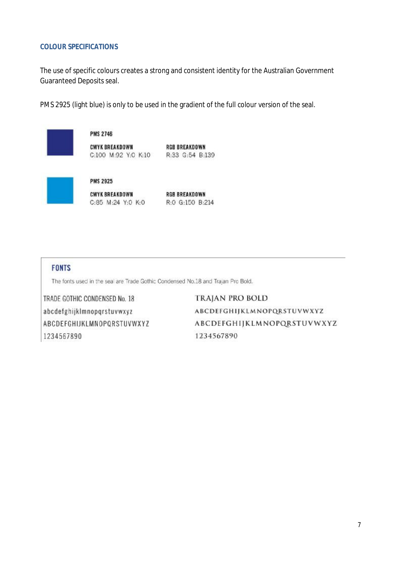#### **COLOUR SPECIFICATIONS**

The use of specific colours creates a strong and consistent identity for the Australian Government Guaranteed Deposits seal.

PMS 2925 (light blue) is only to be used in the gradient of the full colour version of the seal.



CMYK BREAKDOWN RGB BREAKDOWN<br>C:85 M:24 Y:0 K:0 R:0 G:150 B:214

#### **FONTS**

The fonts used in the seal are Trade Gothic Condensed No.18 and Traian Pro Bold.

TRADE GOTHIC CONDENSED No. 18 abcdefghijklmnopqrstuvwxyz ABCDEFGHIJKLMNOPQRSTUVWXYZ 1234567890

**TRAJAN PRO BOLD** ABCDEFGHIJKLMNOPQRSTUVWXYZ ABCDEFGHIJKLMNOPQRSTUVWXYZ 1234567890